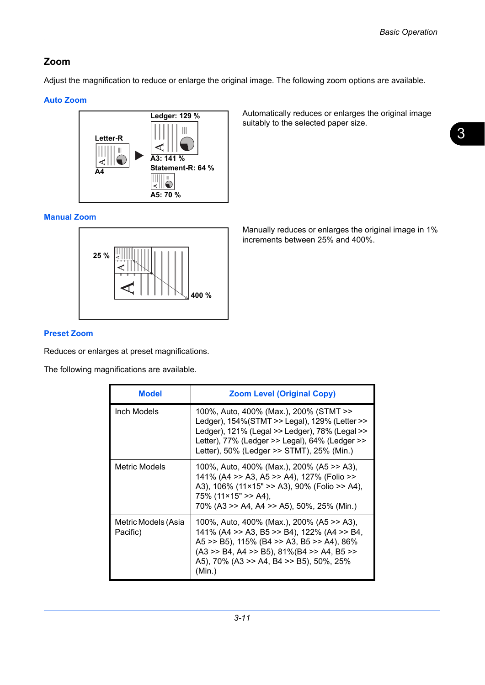## **Zoom**

Adjust the magnification to reduce or enlarge the original image. The following zoom options are available.

## **Auto Zoom**



Automatically reduces or enlarges the original image suitably to the selected paper size.

## **Manual Zoom**



**Preset Zoom**

Reduces or enlarges at preset magnifications.

The following magnifications are available.

| <b>Model</b>                    | <b>Zoom Level (Original Copy)</b>                                                                                                                                                                                                               |
|---------------------------------|-------------------------------------------------------------------------------------------------------------------------------------------------------------------------------------------------------------------------------------------------|
| Inch Models                     | 100%, Auto, 400% (Max.), 200% (STMT >><br>Ledger), 154%(STMT >> Legal), 129% (Letter >><br>Ledger), 121% (Legal >> Ledger), 78% (Legal >><br>Letter), 77% (Ledger >> Legal), 64% (Ledger >><br>Letter), 50% (Ledger >> STMT), 25% (Min.)        |
| Metric Models                   | 100%, Auto, 400% (Max.), 200% (A5 >> A3),<br>141% (A4 >> A3, A5 >> A4), 127% (Folio >><br>A3), 106% (11×15" >> A3), 90% (Folio >> A4),<br>$75\%$ (11×15" >> A4),<br>70% (A3 >> A4, A4 >> A5), 50%, 25% (Min.)                                   |
| Metric Models (Asia<br>Pacific) | 100%, Auto, 400% (Max.), 200% (A5 >> A3),<br>141% (A4 >> A3, B5 >> B4), 122% (A4 >> B4,<br>A5 >> B5), 115% (B4 >> A3, B5 >> A4), 86%<br>$(A3 \gg B4, A4 \gg B5)$ , 81%(B4 $\gg A4, B5 \gg$<br>A5), 70% (A3 >> A4, B4 >> B5), 50%, 25%<br>(Min.) |

Manually reduces or enlarges the original image in 1% increments between 25% and 400%.